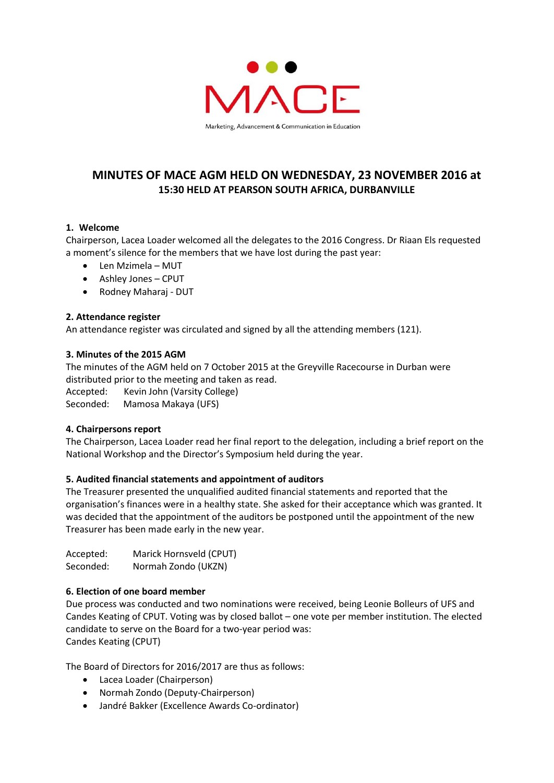

# **MINUTES OF MACE AGM HELD ON WEDNESDAY, 23 NOVEMBER 2016 at 15:30 HELD AT PEARSON SOUTH AFRICA, DURBANVILLE**

### **1. Welcome**

Chairperson, Lacea Loader welcomed all the delegates to the 2016 Congress. Dr Riaan Els requested a moment's silence for the members that we have lost during the past year:

- Len Mzimela MUT
- Ashley Jones CPUT
- Rodney Maharaj DUT

#### **2. Attendance register**

An attendance register was circulated and signed by all the attending members (121).

#### **3. Minutes of the 2015 AGM**

The minutes of the AGM held on 7 October 2015 at the Greyville Racecourse in Durban were distributed prior to the meeting and taken as read.

Accepted: Kevin John (Varsity College)

Seconded: Mamosa Makaya (UFS)

#### **4. Chairpersons report**

The Chairperson, Lacea Loader read her final report to the delegation, including a brief report on the National Workshop and the Director's Symposium held during the year.

## **5. Audited financial statements and appointment of auditors**

The Treasurer presented the unqualified audited financial statements and reported that the organisation's finances were in a healthy state. She asked for their acceptance which was granted. It was decided that the appointment of the auditors be postponed until the appointment of the new Treasurer has been made early in the new year.

| Accepted: | Marick Hornsveld (CPUT) |
|-----------|-------------------------|
| Seconded: | Normah Zondo (UKZN)     |

#### **6. Election of one board member**

Due process was conducted and two nominations were received, being Leonie Bolleurs of UFS and Candes Keating of CPUT. Voting was by closed ballot – one vote per member institution. The elected candidate to serve on the Board for a two-year period was: Candes Keating (CPUT)

The Board of Directors for 2016/2017 are thus as follows:

- Lacea Loader (Chairperson)
- Normah Zondo (Deputy-Chairperson)
- Jandré Bakker (Excellence Awards Co-ordinator)